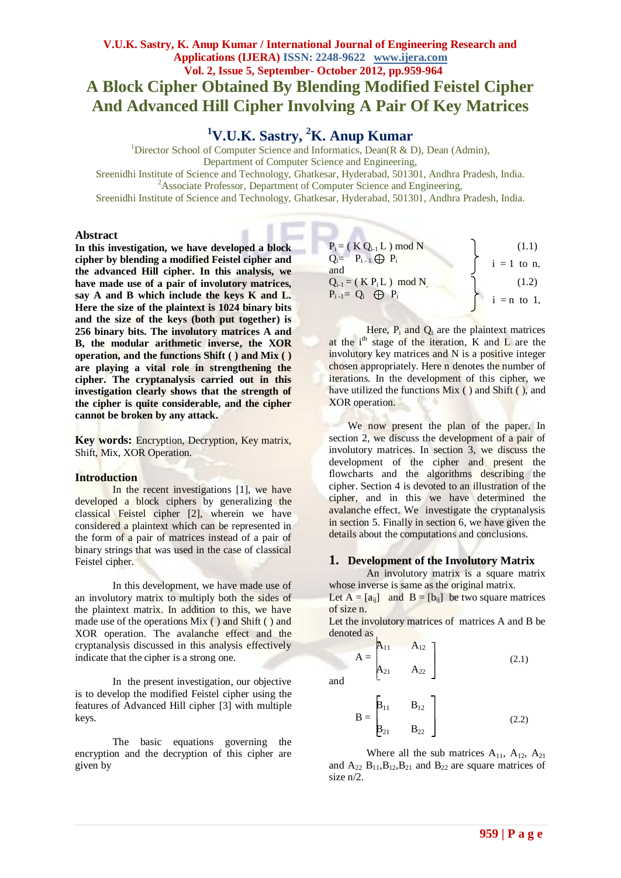## **V.U.K. Sastry, K. Anup Kumar / International Journal of Engineering Research and Applications (IJERA) ISSN: 2248-9622 www.ijera.com Vol. 2, Issue 5, September- October 2012, pp.959-964 A Block Cipher Obtained By Blending Modified Feistel Cipher And Advanced Hill Cipher Involving A Pair Of Key Matrices**

# **<sup>1</sup>V.U.K. Sastry, <sup>2</sup>K. Anup Kumar**

<sup>1</sup>Director School of Computer Science and Informatics, Dean(R & D), Dean (Admin), Department of Computer Science and Engineering,

Sreenidhi Institute of Science and Technology, Ghatkesar, Hyderabad, 501301, Andhra Pradesh, India. <sup>2</sup>Associate Professor, Department of Computer Science and Engineering,

 $\sim$ 

Sreenidhi Institute of Science and Technology, Ghatkesar, Hyderabad, 501301, Andhra Pradesh, India.

#### **Abstract**

**In this investigation, we have developed a block cipher by blending a modified Feistel cipher and the advanced Hill cipher. In this analysis, we have made use of a pair of involutory matrices, say A and B which include the keys K and L. Here the size of the plaintext is 1024 binary bits and the size of the keys (both put together) is 256 binary bits. The involutory matrices A and B, the modular arithmetic inverse, the XOR operation, and the functions Shift ( ) and Mix ( ) are playing a vital role in strengthening the cipher. The cryptanalysis carried out in this investigation clearly shows that the strength of the cipher is quite considerable, and the cipher cannot be broken by any attack.**

**Key words:** Encryption, Decryption, Key matrix, Shift, Mix, XOR Operation.

#### **Introduction**

In the recent investigations [1], we have developed a block ciphers by generalizing the classical Feistel cipher [2], wherein we have considered a plaintext which can be represented in the form of a pair of matrices instead of a pair of binary strings that was used in the case of classical Feistel cipher.

In this development, we have made use of an involutory matrix to multiply both the sides of the plaintext matrix. In addition to this, we have made use of the operations Mix ( ) and Shift ( ) and XOR operation. The avalanche effect and the cryptanalysis discussed in this analysis effectively indicate that the cipher is a strong one.

In the present investigation, our objective is to develop the modified Feistel cipher using the features of Advanced Hill cipher [3] with multiple keys.

The basic equations governing the encryption and the decryption of this cipher are given by

| $P_i = (K Q_{i-1} L) \text{ mod } N$ | (1.1)         |
|--------------------------------------|---------------|
| $Q_i = P_{i-1} \bigoplus P_i$        | $i = 1$ to n. |
| and                                  |               |
| $Q_{i-1} = (K P_i L) \mod N$         | (1.2)         |
| $P_{i-1} = Q_i \oplus P_i$           | $i = n$ to 1. |
|                                      |               |

Here,  $P_i$  and  $Q_i$  are the plaintext matrices at the  $i<sup>th</sup>$  stage of the iteration, K and L are the involutory key matrices and N is a positive integer chosen appropriately. Here n denotes the number of iterations. In the development of this cipher, we have utilized the functions Mix ( ) and Shift ( ), and XOR operation.

We now present the plan of the paper. In section 2, we discuss the development of a pair of involutory matrices. In section 3, we discuss the development of the cipher and present the flowcharts and the algorithms describing the cipher. Section 4 is devoted to an illustration of the cipher, and in this we have determined the avalanche effect. We investigate the cryptanalysis in section 5. Finally in section 6, we have given the details about the computations and conclusions.

#### **1. Development of the Involutory Matrix**

An involutory matrix is a square matrix whose inverse is same as the original matrix. Let  $A = [a_{ii}]$  and  $B = [b_{ii}]$  be two square matrices

of size n.

Let the involutory matrices of matrices A and B be denoted as

$$
A = \begin{bmatrix} A_{11} & A_{12} \\ A_{21} & A_{22} \end{bmatrix}
$$
 (2.1)

and

$$
B = \begin{bmatrix} B_{11} & B_{12} \\ B_{21} & B_{22} \end{bmatrix}
$$
 (2.2)

Where all the sub matrices  $A_{11}$ ,  $A_{12}$ ,  $A_{21}$ and  $A_{22}$   $B_{11}$ ,  $B_{12}$ ,  $B_{21}$  and  $B_{22}$  are square matrices of size n/2.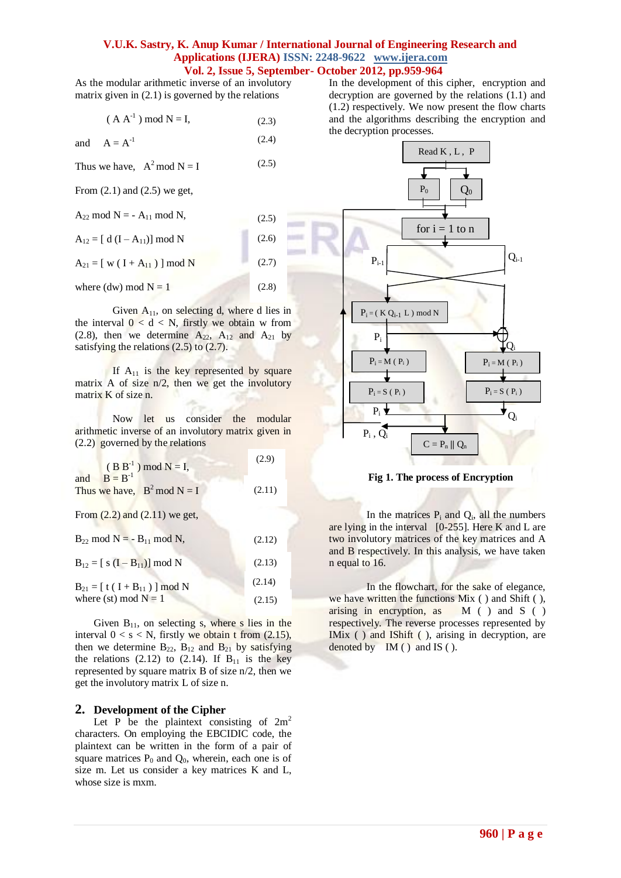As the modular arithmetic inverse of an involutory matrix given in (2.1) is governed by the relations

 $(A A^{-1}) \mod N = I$ , (2.3)

and 
$$
A = A^{-1}
$$
 (2.4)

Thus we have,  $A^2$  mod  $N = I$ (2.5)

From (2.1) and (2.5) we get,

 $A_{22}$  mod N = -  $A_{11}$  mod N, (2.5)

 $A_{12} = [d (I - A_{11})] \text{ mod } N$  $(2.6)$ 

 $A_{21} = [ w ( I + A_{11} ) ] mod N$ (2.7)

where (dw) mod  $N = 1$ (2.8)

Given  $A_{11}$ , on selecting d, where d lies in the interval  $0 < d < N$ , firstly we obtain w from (2.8), then we determine  $A_{22}$ ,  $A_{12}$  and  $A_{21}$  by satisfying the relations  $(2.5)$  to  $(2.7)$ .

If  $A_{11}$  is the key represented by square matrix A of size n/2, then we get the involutory matrix K of size n.

Now let us consider the modular arithmetic inverse of an involutory matrix given in (2.2) governed by the relations

| $(B B^{-1}) \text{ mod } N = I,$       | (2.9)  |
|----------------------------------------|--------|
| and $B = B^{-1}$                       |        |
| Thus we have, $B^2 \text{ mod } N = I$ | (2.11) |

From  $(2.2)$  and  $(2.11)$  we get,

| $B_{22}$ mod N = - $B_{11}$ mod N,         | (2.12) |
|--------------------------------------------|--------|
| $B_{12} = [s (I - B_{11})] \text{ mod } N$ | (2.13) |
| $B_{21} = [t (I + B_{11})] \text{ mod } N$ | (2.14) |
| where (st) mod $N = 1$                     | (2.15) |

Given  $B_{11}$ , on selecting s, where s lies in the interval  $0 < s < N$ , firstly we obtain t from  $(2.15)$ , then we determine  $B_{22}$ ,  $B_{12}$  and  $B_{21}$  by satisfying the relations  $(2.12)$  to  $(2.14)$ . If  $B_{11}$  is the key represented by square matrix B of size n/2, then we get the involutory matrix L of size n.

#### **2. Development of the Cipher**

Let P be the plaintext consisting of  $2m^2$ characters. On employing the EBCIDIC code, the plaintext can be written in the form of a pair of square matrices  $P_0$  and  $Q_0$ , wherein, each one is of size m. Let us consider a key matrices K and L, whose size is mxm.

In the development of this cipher, encryption and decryption are governed by the relations (1.1) and (1.2) respectively. We now present the flow charts and the algorithms describing the encryption and the decryption processes.



**Fig 1. The process of Encryption**

In the matrices  $P_i$  and  $Q_i$ , all the numbers are lying in the interval  $[0-255]$ . Here K and L are two involutory matrices of the key matrices and A and B respectively. In this analysis, we have taken n equal to 16.

In the flowchart, for the sake of elegance, we have written the functions Mix ( ) and Shift ( ), arising in encryption, as  $M($  and  $S($  ) respectively. The reverse processes represented by IMix ( ) and IShift ( ), arising in decryption, are denoted by  $IM()$  and IS  $()$ .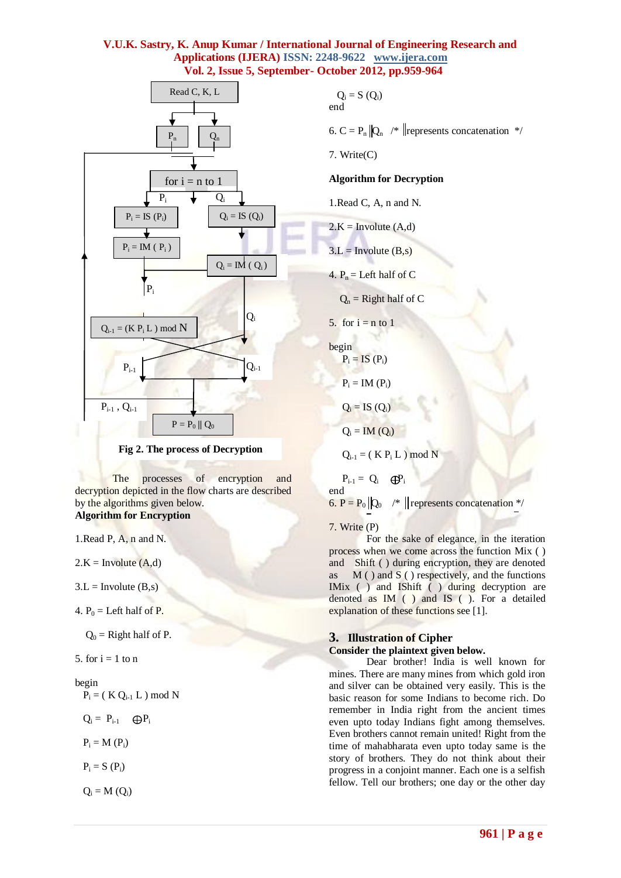



The processes of encryption and decryption depicted in the flow charts are described by the algorithms given below. **Algorithm for Encryption**

1.Read P, A, n and N.

 $2.K = Involute(A,d)$ 

 $3.L = Involute(B,s)$ 

4.  $P_0$  = Left half of P.

 $Q_0$  = Right half of P.

5. for  $i = 1$  to n

#### begin

 $P_i = (K Q_{i-1} L) \text{ mod } N$ 

$$
Q_i = P_{i-1} \quad \bigoplus P_i
$$

$$
P_i = M (P_i)
$$

$$
P_i=S\ (P_i)
$$

 $Q_i = M(Q_i)$ 

$$
Q_i = S(Q_i)
$$
end

6. C =  $P_n ||Q_n \rangle$  /\* || represents concatenation \*/

7. Write(C)

#### **Algorithm for Decryption**

1.Read C, A, n and N.

$$
2.K = Involute (A,d)
$$

$$
3.L = Involute (B,s)
$$

4.  $P_n =$  Left half of C

 $Q_n$  = Right half of C

5. for 
$$
i = n
$$
 to 1

begin  $P_i = IS(P_i)$ 

 $P_i = IM(P_i)$ 

 $Q_i = IS(Q_i)$ 

$$
Q_i = IM(Q_i)
$$

 $Q_{i-1} = (K P_i L) \mod N$ 

 $P_{i-1} = Q_i \oplus P_i$ end 6. P =  $P_0 | Q_0$  /\* || represents concatenation \*/

#### 7. Write (P)

For the sake of elegance, in the iteration process when we come across the function Mix ( ) and Shift ( ) during encryption, they are denoted as  $M()$  and  $S()$  respectively, and the functions IMix ( ) and IShift ( ) during decryption are denoted as IM ( ) and IS ( ). For a detailed explanation of these functions see [1].

#### **3. Illustration of Cipher Consider the plaintext given below.**

Dear brother! India is well known for mines. There are many mines from which gold iron and silver can be obtained very easily. This is the basic reason for some Indians to become rich. Do remember in India right from the ancient times even upto today Indians fight among themselves. Even brothers cannot remain united! Right from the time of mahabharata even upto today same is the story of brothers. They do not think about their progress in a conjoint manner. Each one is a selfish fellow. Tell our brothers; one day or the other day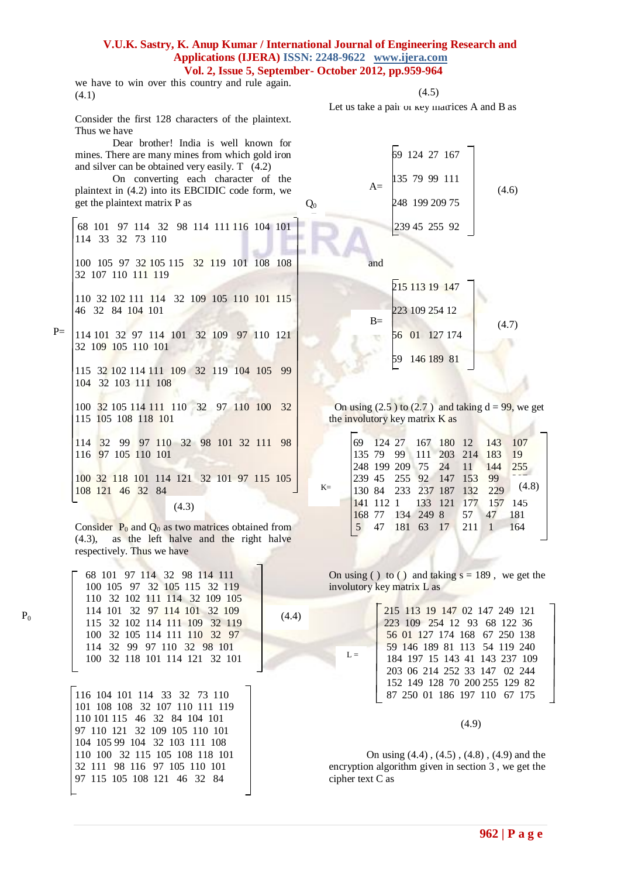$Q_0$ 

we have to win over this country and rule again. (4.1)

Consider the first 128 characters of the plaintext. Thus we have

Dear brother! India is well known for mines. There are many mines from which gold iron and silver can be obtained very easily. T (4.2) On converting each character of the

plaintext in (4.2) into its EBCIDIC code form, we get the plaintext matrix P as

68 101 97 114 32 98 114 111 116 104 101 114 33 32 73 110

100 105 97 32 105 115 32 119 101 108 108 32 107 110 111 119

110 32 102 111 114 32 109 105 110 101 115 46 32 84 104 101

114 101 32 97 114 101 32 109 97 110 121 32 109 105 110 101  $P=$ 

115 32 102 114 111 109 32 119 104 105 99 104 32 103 111 108

100 32 105 114 111 110 32 97 110 100 32 115 105 108 118 101

114 32 99 97 110 32 98 101 32 111 98 116 97 105 110 101

100 32 118 101 114 121 32 101 97 115 105 108 121 46 32 84

(4.3)

Consider  $P_0$  and  $Q_0$  as two matrices obtained from (4.3), as the left halve and the right halve respectively. Thus we have

(4.4)

 $L =$ 

 68 101 97 114 32 98 114 111 100 105 97 32 105 115 32 119 110 32 102 111 114 32 109 105 114 101 32 97 114 101 32 109 115 32 102 114 111 109 32 119 100 32 105 114 111 110 32 97 114 32 99 97 110 32 98 101 100 32 118 101 114 121 32 101

 $P_0$ 

116 104 101 114 33 32 73 110 101 108 108 32 107 110 111 119 110 101 115 46 32 84 104 101 97 110 121 32 109 105 110 101 104 105 99 104 32 103 111 108 110 100 32 115 105 108 118 101 32 111 98 116 97 105 110 101 97 115 105 108 121 46 32 84  $\overline{\phantom{a}}$ 

 $(4.5)$ 

Let us take a pair or key matrices A and B as

69 124 27 167

248 199 209 75

 $A =$   $(4.6)$ 

239 45 255 92

 $A =$  135 79 99 111

 and 215 113 19 147 223 109 254 12 56 01 127 174 59 146 189 81  $B =$  (4.7)

On using  $(2.5)$  to  $(2.7)$  and taking  $d = 99$ , we get the involutory key matrix  $K$  as

|       |  |  |  | 69 124 27 167 180 12 143 107<br>  135 79 99 111 203 214 183 19 |       |
|-------|--|--|--|----------------------------------------------------------------|-------|
|       |  |  |  |                                                                |       |
|       |  |  |  | 248 199 209 75 24 11 144 255                                   |       |
|       |  |  |  | 239 45 255 92 147 153 99                                       |       |
| $K =$ |  |  |  | 130 84 233 237 187 132 229                                     | (4.8) |
|       |  |  |  | 141 112 1 133 121 177 157 145                                  |       |
|       |  |  |  | 168 77 134 249 8 57 47 181                                     |       |
|       |  |  |  | 5 47 181 63 17 211 1 164                                       |       |
|       |  |  |  |                                                                |       |

On using ( ) to ( ) and taking  $s = 189$ , we get the involutory key matrix L as

> 215 113 19 147 02 147 249 121 223 109 254 12 93 68 122 36 56 01 127 174 168 67 250 138 59 146 189 81 113 54 119 240 184 197 15 143 41 143 237 109 203 06 214 252 33 147 02 244 152 149 128 70 200 255 129 82 87 250 01 186 197 110 67 175

> > (4.9)

On using (4.4) , (4.5) , (4.8) , (4.9) and the encryption algorithm given in section 3 , we get the cipher text C as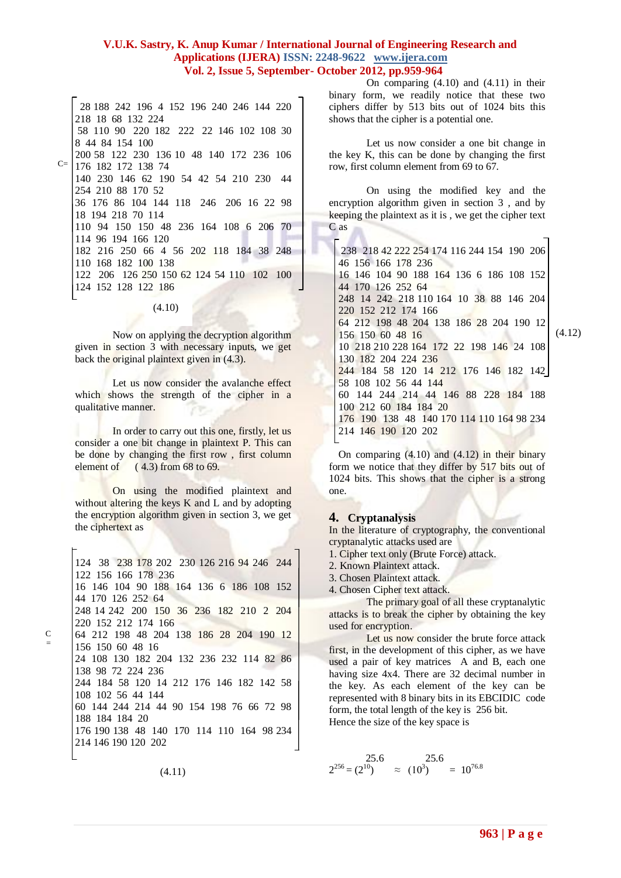28 188 242 196 4 152 196 240 246 144 220 218 18 68 132 224 58 110 90 220 182 222 22 146 102 108 30 8 44 84 154 100 200 58 122 230 136 10 48 140 172 236 106 <sup>C=</sup> 176 182 172 138 74 140 230 146 62 190 54 42 54 210 230 44 254 210 88 170 52 36 176 86 104 144 118 246 206 16 22 98 18 194 218 70 114 110 94 150 150 48 236 164 108 6 206 70 114 96 194 166 120 182 216 250 66 4 56 202 118 184 38 248 110 168 182 100 138 122 206 126 250 150 62 124 54 110 102 100 124 152 128 122 186

(4.10)

Now on applying the decryption algorithm given in section 3 with necessary inputs, we get back the original plaintext given in  $(4.3)$ .

Let us now consider the avalanche effect which shows the strength of the cipher in a qualitative manner.

In order to carry out this one, firstly, let us consider a one bit change in plaintext P. This can be done by changing the first row , first column element of  $(4.3)$  from 68 to 69.

On using the modified plaintext and without altering the keys K and L and by adopting the encryption algorithm given in section 3, we get the ciphertext as

124 38 238 178 202 230 126 216 94 246 244 122 156 166 178 236 16 146 104 90 188 164 136 6 186 108 152 44 170 126 252 64 248 14 242 200 150 36 236 182 210 2 204 220 152 212 174 166 64 212 198 48 204 138 186 28 204 190 12 156 150 60 48 16 24 108 130 182 204 132 236 232 114 82 86 138 98 72 224 236 244 184 58 120 14 212 176 146 182 142 58 108 102 56 44 144 60 144 244 214 44 90 154 198 76 66 72 98 188 184 184 20 176 190 138 48 140 170 114 110 164 98 234 214 146 190 120 202

(4.11)

On comparing (4.10) and (4.11) in their binary form, we readily notice that these two ciphers differ by 513 bits out of 1024 bits this shows that the cipher is a potential one.

Let us now consider a one bit change in the key K, this can be done by changing the first row, first column element from 69 to 67.

On using the modified key and the encryption algorithm given in section 3 , and by keeping the plaintext as it is , we get the cipher text C as

238 218 42 222 254 174 116 244 154 190 206 46 156 166 178 236 16 146 104 90 188 164 136 6 186 108 152 44 170 126 252 64 248 14 242 218 110 164 10 38 88 146 204 220 152 212 174 166 64 212 198 48 204 138 186 28 204 190 12 156 150 60 48 16 10 218 210 228 164 172 22 198 146 24 108 130 182 204 224 236 244 184 58 120 14 212 176 146 182 142 58 108 102 56 44 144 60 144 244 214 44 146 88 228 184 188 100 212 60 184 184 20 176 190 138 48 140 170 114 110 164 98 234 214 146 190 120 202

On comparing  $(4.10)$  and  $(4.12)$  in their binary form we notice that they differ by 517 bits out of 1024 bits. This shows that the cipher is a strong one.

#### **4. Cryptanalysis**

In the literature of cryptography, the conventional cryptanalytic attacks used are

1. Cipher text only (Brute Force) attack.

2. Known Plaintext attack.

3. Chosen Plaintext attack.

4. Chosen Cipher text attack.

The primary goal of all these cryptanalytic attacks is to break the cipher by obtaining the key used for encryption.

Let us now consider the brute force attack first, in the development of this cipher, as we have used a pair of key matrices A and B, each one having size 4x4. There are 32 decimal number in the key. As each element of the key can be represented with 8 binary bits in its EBCIDIC code form, the total length of the key is 256 bit. Hence the size of the key space is

$$
2^{256} = (2^{10})
$$
  $\approx (10^3)$   $= 10^{76.8}$ 

**963 | P a g e**

(4.12)

C =